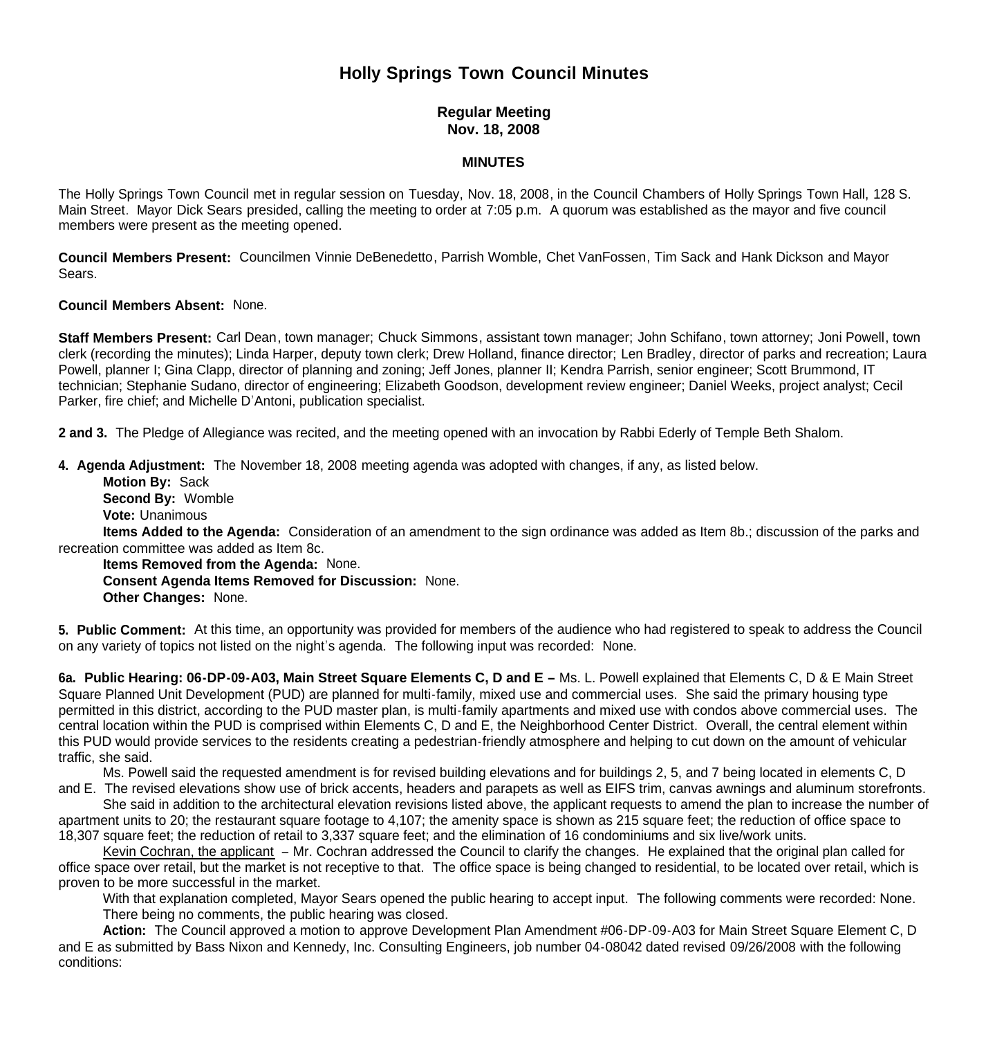# **Holly Springs Town Council Minutes**

## **Regular Meeting Nov. 18, 2008**

### **MINUTES**

The Holly Springs Town Council met in regular session on Tuesday, Nov. 18, 2008, in the Council Chambers of Holly Springs Town Hall, 128 S. Main Street. Mayor Dick Sears presided, calling the meeting to order at 7:05 p.m. A quorum was established as the mayor and five council members were present as the meeting opened.

**Council Members Present:** Councilmen Vinnie DeBenedetto, Parrish Womble, Chet VanFossen, Tim Sack and Hank Dickson and Mayor Sears.

#### **Council Members Absent:** None.

**Staff Members Present:** Carl Dean, town manager; Chuck Simmons, assistant town manager; John Schifano, town attorney; Joni Powell, town clerk (recording the minutes); Linda Harper, deputy town clerk; Drew Holland, finance director; Len Bradley, director of parks and recreation; Laura Powell, planner I; Gina Clapp, director of planning and zoning; Jeff Jones, planner II; Kendra Parrish, senior engineer; Scott Brummond, IT technician; Stephanie Sudano, director of engineering; Elizabeth Goodson, development review engineer; Daniel Weeks, project analyst; Cecil Parker, fire chief; and Michelle D'Antoni, publication specialist.

**2 and 3.** The Pledge of Allegiance was recited, and the meeting opened with an invocation by Rabbi Ederly of Temple Beth Shalom.

**4. Agenda Adjustment:** The November 18, 2008 meeting agenda was adopted with changes, if any, as listed below.

**Motion By: Sack Second By:** Womble **Vote:** Unanimous

 **Items Added to the Agenda:** Consideration of an amendment to the sign ordinance was added as Item 8b.; discussion of the parks and recreation committee was added as Item 8c.

 **Items Removed from the Agenda:** None. **Consent Agenda Items Removed for Discussion:** None. **Other Changes:** None.

**5. Public Comment:** At this time, an opportunity was provided for members of the audience who had registered to speak to address the Council on any variety of topics not listed on the night's agenda. The following input was recorded: None.

**6a. Public Hearing: 06-DP-09-A03, Main Street Square Elements C, D and E –** Ms. L. Powell explained that Elements C, D & E Main Street Square Planned Unit Development (PUD) are planned for multi-family, mixed use and commercial uses. She said the primary housing type permitted in this district, according to the PUD master plan, is multi-family apartments and mixed use with condos above commercial uses. The central location within the PUD is comprised within Elements C, D and E, the Neighborhood Center District. Overall, the central element within this PUD would provide services to the residents creating a pedestrian-friendly atmosphere and helping to cut down on the amount of vehicular traffic, she said.

Ms. Powell said the requested amendment is for revised building elevations and for buildings 2, 5, and 7 being located in elements C, D

and E. The revised elevations show use of brick accents, headers and parapets as well as EIFS trim, canvas awnings and aluminum storefronts. She said in addition to the architectural elevation revisions listed above, the applicant requests to amend the plan to increase the number of apartment units to 20; the restaurant square footage to 4,107; the amenity space is shown as 215 square feet; the reduction of office space to 18,307 square feet; the reduction of retail to 3,337 square feet; and the elimination of 16 condominiums and six live/work units.

Kevin Cochran, the applicant – Mr. Cochran addressed the Council to clarify the changes. He explained that the original plan called for office space over retail, but the market is not receptive to that. The office space is being changed to residential, to be located over retail, which is proven to be more successful in the market.

With that explanation completed, Mayor Sears opened the public hearing to accept input. The following comments were recorded: None. There being no comments, the public hearing was closed.

 **Action:** The Council approved a motion to approve Development Plan Amendment #06-DP-09-A03 for Main Street Square Element C, D and E as submitted by Bass Nixon and Kennedy, Inc. Consulting Engineers, job number 04-08042 dated revised 09/26/2008 with the following conditions: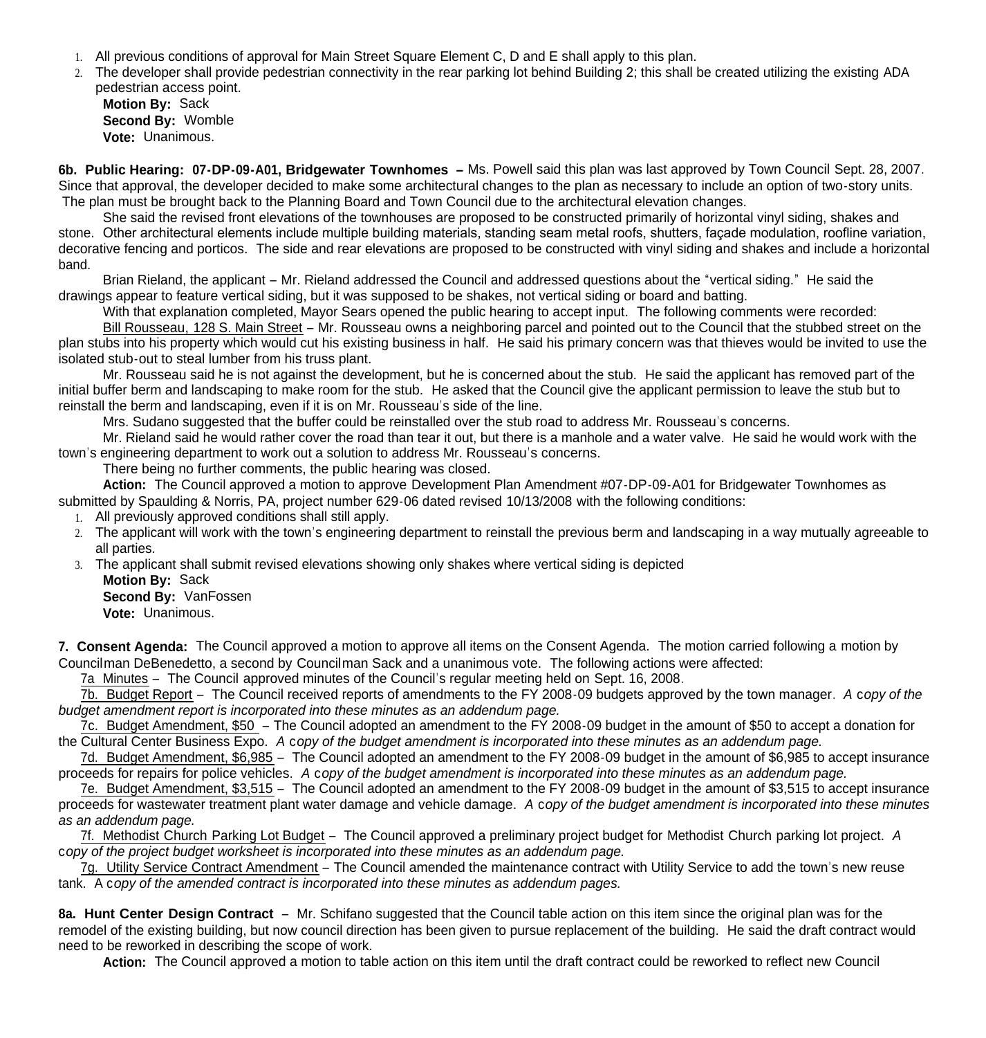- 1. All previous conditions of approval for Main Street Square Element C, D and E shall apply to this plan.
- 2. The developer shall provide pedestrian connectivity in the rear parking lot behind Building 2; this shall be created utilizing the existing ADA pedestrian access point.

**Motion By:** Sack **Second By:** Womble **Vote:** Unanimous.

**6b. Public Hearing: 07-DP-09-A01, Bridgewater Townhomes –** Ms. Powell said this plan was last approved by Town Council Sept. 28, 2007. Since that approval, the developer decided to make some architectural changes to the plan as necessary to include an option of two-story units. The plan must be brought back to the Planning Board and Town Council due to the architectural elevation changes.

 She said the revised front elevations of the townhouses are proposed to be constructed primarily of horizontal vinyl siding, shakes and stone. Other architectural elements include multiple building materials, standing seam metal roofs, shutters, façade modulation, roofline variation, decorative fencing and porticos. The side and rear elevations are proposed to be constructed with vinyl siding and shakes and include a horizontal band.

Brian Rieland, the applicant – Mr. Rieland addressed the Council and addressed questions about the "vertical siding." He said the drawings appear to feature vertical siding, but it was supposed to be shakes, not vertical siding or board and batting.

With that explanation completed, Mayor Sears opened the public hearing to accept input. The following comments were recorded:

Bill Rousseau, 128 S. Main Street – Mr. Rousseau owns a neighboring parcel and pointed out to the Council that the stubbed street on the plan stubs into his property which would cut his existing business in half. He said his primary concern was that thieves would be invited to use the isolated stub-out to steal lumber from his truss plant.

Mr. Rousseau said he is not against the development, but he is concerned about the stub. He said the applicant has removed part of the initial buffer berm and landscaping to make room for the stub. He asked that the Council give the applicant permission to leave the stub but to reinstall the berm and landscaping, even if it is on Mr. Rousseau's side of the line.

Mrs. Sudano suggested that the buffer could be reinstalled over the stub road to address Mr. Rousseau's concerns.

Mr. Rieland said he would rather cover the road than tear it out, but there is a manhole and a water valve. He said he would work with the town's engineering department to work out a solution to address Mr. Rousseau's concerns.

There being no further comments, the public hearing was closed.

 **Action:** The Council approved a motion to approve Development Plan Amendment #07-DP-09-A01 for Bridgewater Townhomes as submitted by Spaulding & Norris, PA, project number 629-06 dated revised 10/13/2008 with the following conditions:

- 1. All previously approved conditions shall still apply.
- 2. The applicant will work with the town's engineering department to reinstall the previous berm and landscaping in a way mutually agreeable to all parties.
- 3. The applicant shall submit revised elevations showing only shakes where vertical siding is depicted

**Motion By:** Sack **Second By:** VanFossen **Vote:** Unanimous.

**7. Consent Agenda:** The Council approved a motion to approve all items on the Consent Agenda. The motion carried following a motion by Councilman DeBenedetto, a second by Councilman Sack and a unanimous vote. The following actions were affected:

7a Minutes – The Council approved minutes of the Council's regular meeting held on Sept. 16, 2008.

7b. Budget Report – The Council received reports of amendments to the FY 2008-09 budgets approved by the town manager. *A* c*opy of the budget amendment report is incorporated into these minutes as an addendum page.*

7c. Budget Amendment, \$50 - The Council adopted an amendment to the FY 2008-09 budget in the amount of \$50 to accept a donation for the Cultural Center Business Expo. *A* c*opy of the budget amendment is incorporated into these minutes as an addendum page.*

7d. Budget Amendment, \$6,985 – The Council adopted an amendment to the FY 2008-09 budget in the amount of \$6,985 to accept insurance proceeds for repairs for police vehicles. *A* c*opy of the budget amendment is incorporated into these minutes as an addendum page.*

7e. Budget Amendment, \$3,515 – The Council adopted an amendment to the FY 2008-09 budget in the amount of \$3,515 to accept insurance proceeds for wastewater treatment plant water damage and vehicle damage. *A* c*opy of the budget amendment is incorporated into these minutes as an addendum page.*

7f. Methodist Church Parking Lot Budget – The Council approved a preliminary project budget for Methodist Church parking lot project. *A*  c*opy of the project budget worksheet is incorporated into these minutes as an addendum page.*

7g. Utility Service Contract Amendment – The Council amended the maintenance contract with Utility Service to add the town's new reuse tank. A c*opy of the amended contract is incorporated into these minutes as addendum pages.*

**8a. Hunt Center Design Contract** – Mr. Schifano suggested that the Council table action on this item since the original plan was for the remodel of the existing building, but now council direction has been given to pursue replacement of the building. He said the draft contract would need to be reworked in describing the scope of work.

**Action:** The Council approved a motion to table action on this item until the draft contract could be reworked to reflect new Council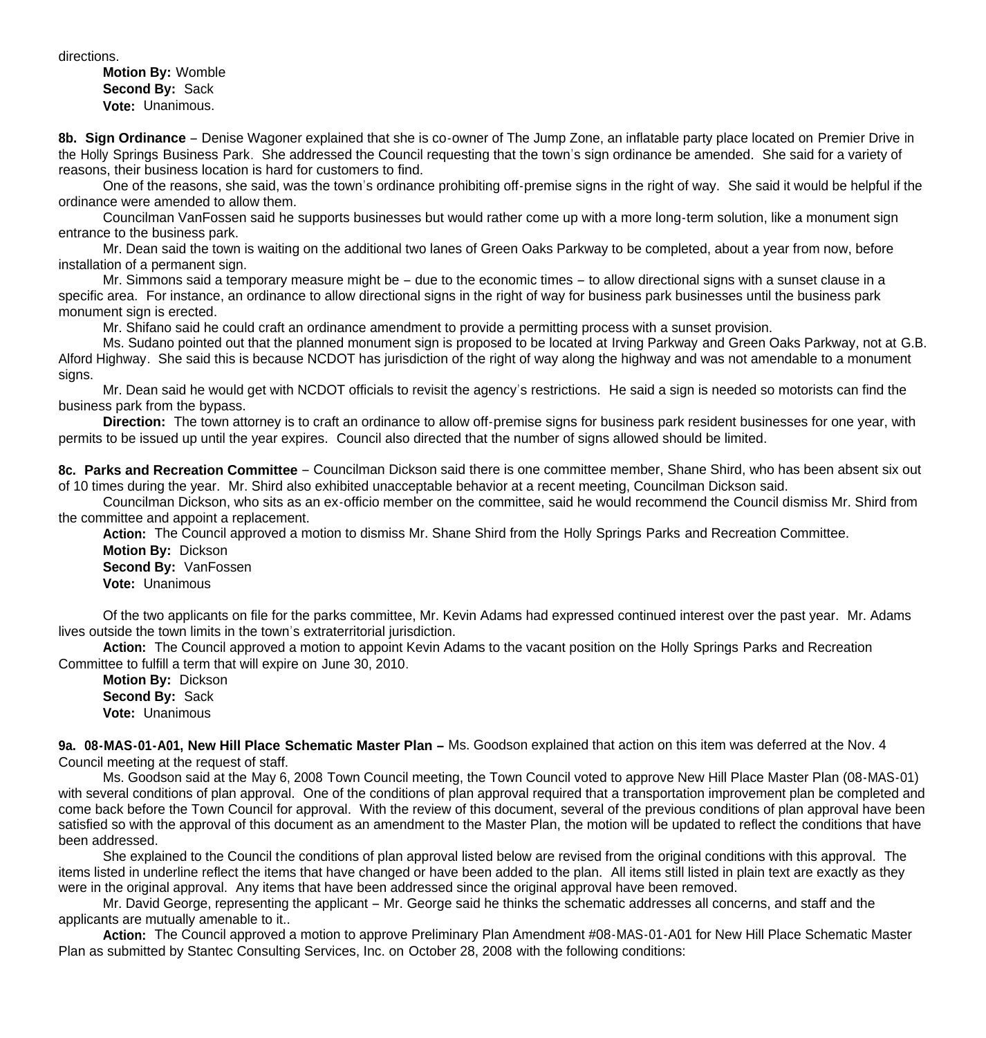directions.

**Motion By:** Womble **Second By:** Sack **Vote:** Unanimous.

**8b. Sign Ordinance** – Denise Wagoner explained that she is co-owner of The Jump Zone, an inflatable party place located on Premier Drive in the Holly Springs Business Park. She addressed the Council requesting that the town's sign ordinance be amended. She said for a variety of reasons, their business location is hard for customers to find.

 One of the reasons, she said, was the town's ordinance prohibiting off-premise signs in the right of way. She said it would be helpful if the ordinance were amended to allow them.

 Councilman VanFossen said he supports businesses but would rather come up with a more long-term solution, like a monument sign entrance to the business park.

 Mr. Dean said the town is waiting on the additional two lanes of Green Oaks Parkway to be completed, about a year from now, before installation of a permanent sign.

Mr. Simmons said a temporary measure might be – due to the economic times – to allow directional signs with a sunset clause in a specific area. For instance, an ordinance to allow directional signs in the right of way for business park businesses until the business park monument sign is erected.

Mr. Shifano said he could craft an ordinance amendment to provide a permitting process with a sunset provision.

 Ms. Sudano pointed out that the planned monument sign is proposed to be located at Irving Parkway and Green Oaks Parkway, not at G.B. Alford Highway. She said this is because NCDOT has jurisdiction of the right of way along the highway and was not amendable to a monument signs.

 Mr. Dean said he would get with NCDOT officials to revisit the agency's restrictions. He said a sign is needed so motorists can find the business park from the bypass.

 **Direction:** The town attorney is to craft an ordinance to allow off-premise signs for business park resident businesses for one year, with permits to be issued up until the year expires. Council also directed that the number of signs allowed should be limited.

**8c. Parks and Recreation Committee** – Councilman Dickson said there is one committee member, Shane Shird, who has been absent six out of 10 times during the year. Mr. Shird also exhibited unacceptable behavior at a recent meeting, Councilman Dickson said.

 Councilman Dickson, who sits as an ex-officio member on the committee, said he would recommend the Council dismiss Mr. Shird from the committee and appoint a replacement.

 **Action:** The Council approved a motion to dismiss Mr. Shane Shird from the Holly Springs Parks and Recreation Committee. **Motion By:** Dickson

 **Second By:** VanFossen **Vote:** Unanimous

 Of the two applicants on file for the parks committee, Mr. Kevin Adams had expressed continued interest over the past year. Mr. Adams lives outside the town limits in the town's extraterritorial jurisdiction.

 **Action:** The Council approved a motion to appoint Kevin Adams to the vacant position on the Holly Springs Parks and Recreation Committee to fulfill a term that will expire on June 30, 2010.

 **Motion By:** Dickson **Second By:** Sack **Vote:** Unanimous

**9a. 08-MAS-01-A01, New Hill Place Schematic Master Plan –** Ms. Goodson explained that action on this item was deferred at the Nov. 4 Council meeting at the request of staff.

Ms. Goodson said at the May 6, 2008 Town Council meeting, the Town Council voted to approve New Hill Place Master Plan (08-MAS-01) with several conditions of plan approval. One of the conditions of plan approval required that a transportation improvement plan be completed and come back before the Town Council for approval. With the review of this document, several of the previous conditions of plan approval have been satisfied so with the approval of this document as an amendment to the Master Plan, the motion will be updated to reflect the conditions that have been addressed.

 She explained to the Council the conditions of plan approval listed below are revised from the original conditions with this approval. The items listed in underline reflect the items that have changed or have been added to the plan. All items still listed in plain text are exactly as they were in the original approval. Any items that have been addressed since the original approval have been removed.

Mr. David George, representing the applicant – Mr. George said he thinks the schematic addresses all concerns, and staff and the applicants are mutually amenable to it..

**Action:** The Council approved a motion to approve Preliminary Plan Amendment #08-MAS-01-A01 for New Hill Place Schematic Master Plan as submitted by Stantec Consulting Services, Inc. on October 28, 2008 with the following conditions: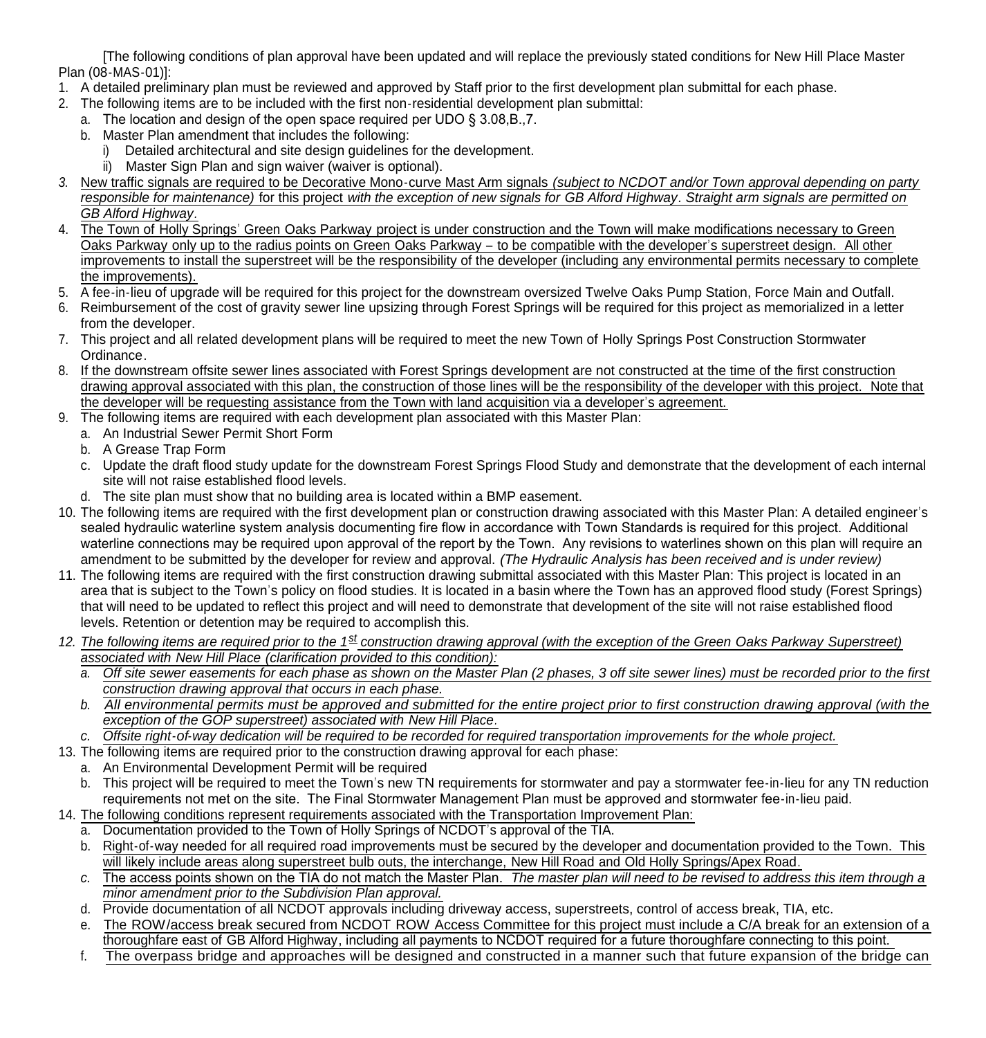[The following conditions of plan approval have been updated and will replace the previously stated conditions for New Hill Place Master Plan (08-MAS-01)]:

- 1. A detailed preliminary plan must be reviewed and approved by Staff prior to the first development plan submittal for each phase.
- 2. The following items are to be included with the first non-residential development plan submittal:
	- a. The location and design of the open space required per UDO § 3.08,B.,7.
		- b. Master Plan amendment that includes the following:
			- i) Detailed architectural and site design guidelines for the development.
			- ii) Master Sign Plan and sign waiver (waiver is optional).
- *3.* New traffic signals are required to be Decorative Mono-curve Mast Arm signals *(subject to NCDOT and/or Town approval depending on party responsible for maintenance)* for this project *with the exception of new signals for GB Alford Highway. Straight arm signals are permitted on GB Alford Highway.*
- 4. The Town of Holly Springs' Green Oaks Parkway project is under construction and the Town will make modifications necessary to Green Oaks Parkway only up to the radius points on Green Oaks Parkway – to be compatible with the developer's superstreet design. All other improvements to install the superstreet will be the responsibility of the developer (including any environmental permits necessary to complete the improvements).
- 5. A fee-in-lieu of upgrade will be required for this project for the downstream oversized Twelve Oaks Pump Station, Force Main and Outfall.
- 6. Reimbursement of the cost of gravity sewer line upsizing through Forest Springs will be required for this project as memorialized in a letter from the developer.
- 7. This project and all related development plans will be required to meet the new Town of Holly Springs Post Construction Stormwater Ordinance.
- 8. If the downstream offsite sewer lines associated with Forest Springs development are not constructed at the time of the first construction drawing approval associated with this plan, the construction of those lines will be the responsibility of the developer with this project. Note that the developer will be requesting assistance from the Town with land acquisition via a developer's agreement.
- 9. The following items are required with each development plan associated with this Master Plan:
	- a. An Industrial Sewer Permit Short Form
	- b. A Grease Trap Form
	- c. Update the draft flood study update for the downstream Forest Springs Flood Study and demonstrate that the development of each internal site will not raise established flood levels.
- d. The site plan must show that no building area is located within a BMP easement.
- 10. The following items are required with the first development plan or construction drawing associated with this Master Plan: A detailed engineer's sealed hydraulic waterline system analysis documenting fire flow in accordance with Town Standards is required for this project. Additional waterline connections may be required upon approval of the report by the Town. Any revisions to waterlines shown on this plan will require an amendment to be submitted by the developer for review and approval. *(The Hydraulic Analysis has been received and is under review)*
- 11. The following items are required with the first construction drawing submittal associated with this Master Plan: This project is located in an area that is subject to the Town's policy on flood studies. It is located in a basin where the Town has an approved flood study (Forest Springs) that will need to be updated to reflect this project and will need to demonstrate that development of the site will not raise established flood levels. Retention or detention may be required to accomplish this.
- *12. The following items are required prior to the 1st construction drawing approval (with the exception of the Green Oaks Parkway Superstreet) associated with New Hill Place (clarification provided to this condition):*
	- *a. Off site sewer easements for each phase as shown on the Master Plan (2 phases, 3 off site sewer lines) must be recorded prior to the first construction drawing approval that occurs in each phase.*
	- *b. All environmental permits must be approved and submitted for the entire project prior to first construction drawing approval (with the exception of the GOP superstreet) associated with New Hill Place.*
- *c. Offsite right-of-way dedication will be required to be recorded for required transportation improvements for the whole project.*
- 13. The following items are required prior to the construction drawing approval for each phase:
	- a. An Environmental Development Permit will be required
	- b. This project will be required to meet the Town's new TN requirements for stormwater and pay a stormwater fee-in-lieu for any TN reduction requirements not met on the site. The Final Stormwater Management Plan must be approved and stormwater fee-in-lieu paid.
- 14. The following conditions represent requirements associated with the Transportation Improvement Plan:
	- a. Documentation provided to the Town of Holly Springs of NCDOT's approval of the TIA.
	- b. Right-of-way needed for all required road improvements must be secured by the developer and documentation provided to the Town. This will likely include areas along superstreet bulb outs, the interchange, New Hill Road and Old Holly Springs/Apex Road.
	- *c.* The access points shown on the TIA do not match the Master Plan. *The master plan will need to be revised to address this item through a minor amendment prior to the Subdivision Plan approval.*
	- d. Provide documentation of all NCDOT approvals including driveway access, superstreets, control of access break, TIA, etc.
	- e. The ROW/access break secured from NCDOT ROW Access Committee for this project must include a C/A break for an extension of a thoroughfare east of GB Alford Highway, including all payments to NCDOT required for a future thoroughfare connecting to this point.
	- f. The overpass bridge and approaches will be designed and constructed in a manner such that future expansion of the bridge can